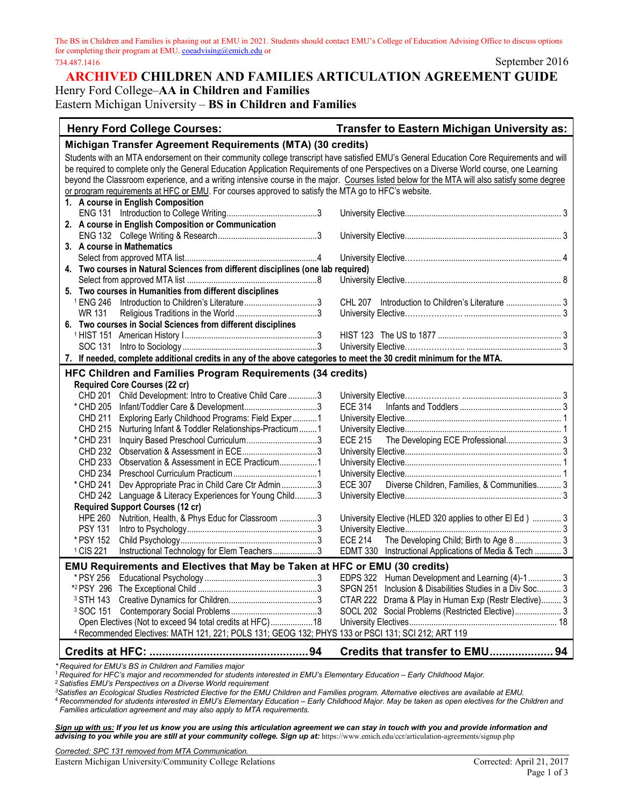The BS in Children and Families is phasing out at EMU in 2021. Students should contact EMU's College of Education Advising Office to discuss options for completing their program at EMU[. coeadvising@emich.edu](mailto:coeadvising@emich.edu) or 734.487.1416 September 2016

## **ARCHIVED CHILDREN AND FAMILIES ARTICULATION AGREEMENT GUIDE** Henry Ford College–**AA in Children and Families**

Eastern Michigan University – **BS in Children and Families**

| <b>Henry Ford College Courses:</b>                                                                                                           | <b>Transfer to Eastern Michigan University as:</b>       |
|----------------------------------------------------------------------------------------------------------------------------------------------|----------------------------------------------------------|
| Michigan Transfer Agreement Requirements (MTA) (30 credits)                                                                                  |                                                          |
| Students with an MTA endorsement on their community college transcript have satisfied EMU's General Education Core Requirements and will     |                                                          |
| be required to complete only the General Education Application Requirements of one Perspectives on a Diverse World course, one Learning      |                                                          |
| beyond the Classroom experience, and a writing intensive course in the major. Courses listed below for the MTA will also satisfy some degree |                                                          |
| or program requirements at HFC or EMU. For courses approved to satisfy the MTA go to HFC's website.                                          |                                                          |
| 1. A course in English Composition                                                                                                           |                                                          |
|                                                                                                                                              |                                                          |
| 2. A course in English Composition or Communication                                                                                          |                                                          |
|                                                                                                                                              |                                                          |
| 3. A course in Mathematics                                                                                                                   |                                                          |
|                                                                                                                                              |                                                          |
| 4. Two courses in Natural Sciences from different disciplines (one lab required)                                                             |                                                          |
|                                                                                                                                              |                                                          |
| 5. Two courses in Humanities from different disciplines                                                                                      |                                                          |
| <sup>1</sup> ENG 246 Introduction to Children's Literature3                                                                                  | CHL 207 Introduction to Children's Literature 3          |
| WR 131                                                                                                                                       |                                                          |
| 6. Two courses in Social Sciences from different disciplines                                                                                 |                                                          |
|                                                                                                                                              |                                                          |
| SOC 131                                                                                                                                      |                                                          |
| 7. If needed, complete additional credits in any of the above categories to meet the 30 credit minimum for the MTA.                          |                                                          |
| HFC Children and Families Program Requirements (34 credits)                                                                                  |                                                          |
| <b>Required Core Courses (22 cr)</b>                                                                                                         |                                                          |
| Child Development: Intro to Creative Child Care 3<br>CHD 201                                                                                 |                                                          |
| * CHD 205                                                                                                                                    | ECE 314                                                  |
| Exploring Early Childhood Programs: Field Exper 1<br><b>CHD 211</b>                                                                          |                                                          |
| Nurturing Infant & Toddler Relationships-Practicum  1<br>CHD 215                                                                             |                                                          |
| * CHD 231                                                                                                                                    | The Developing ECE Professional 3<br>ECE 215             |
| CHD 232                                                                                                                                      |                                                          |
| CHD 233                                                                                                                                      |                                                          |
| <b>CHD 234</b>                                                                                                                               |                                                          |
| * CHD 241<br>Dev Appropriate Prac in Child Care Ctr Admin3                                                                                   | Diverse Children, Families, & Communities 3<br>ECE 307   |
| <b>CHD 242</b><br>Language & Literacy Experiences for Young Child3                                                                           |                                                          |
| <b>Required Support Courses (12 cr)</b>                                                                                                      |                                                          |
| <b>HPE 260</b><br>Nutrition, Health, & Phys Educ for Classroom 3                                                                             | University Elective (HLED 320 applies to other El Ed)  3 |
| <b>PSY 131</b>                                                                                                                               |                                                          |
| * PSY 152                                                                                                                                    | The Developing Child; Birth to Age 8  3<br>ECE 214       |
| <sup>1</sup> CIS 221<br>Instructional Technology for Elem Teachers3                                                                          | EDMT 330 Instructional Applications of Media & Tech  3   |
| <b>EMU Requirements and Electives that May be Taken at HFC or EMU (30 credits)</b>                                                           |                                                          |
|                                                                                                                                              | EDPS 322 Human Development and Learning (4)-1 3          |
|                                                                                                                                              | SPGN 251 Inclusion & Disabilities Studies in a Div Soc 3 |
|                                                                                                                                              | CTAR 222 Drama & Play in Human Exp (Restr Elective) 3    |
|                                                                                                                                              | SOCL 202 Social Problems (Restricted Elective) 3         |
| Open Electives (Not to exceed 94 total credits at HFC) 18                                                                                    |                                                          |
| 4 Recommended Electives: MATH 121, 221; POLS 131; GEOG 132; PHYS 133 or PSCI 131; SCI 212; ART 119                                           |                                                          |
|                                                                                                                                              |                                                          |
|                                                                                                                                              | Credits that transfer to EMU 94                          |

*\* Required for EMU's BS in Children and Families major*

<sup>1</sup> *Required for HFC's major and recommended for students interested in EMU's Elementary Education – Early Childhood Major.*

<sup>2</sup> *Satisfies EMU's Perspectives on a Diverse World requirement*

*3Satisfies an Ecological Studies Restricted Elective for the EMU Children and Families program. Alternative electives are available at EMU.*

<sup>4</sup> *Recommended for students interested in EMU's Elementary Education – Early Childhood Major. May be taken as open electives for the Children and Families articulation agreement and may also apply to MTA requirements.*

*Sign up with us: If you let us know you are using this articulation agreement we can stay in touch with you and provide information and*  advising to you while you are still at your community college. Sign up at: https://www.emich.edu/ccr/articulation-agreements/signup.php

*Corrected: SPC 131 removed from MTA Communication.*

Eastern Michigan University/Community College Relations Corrected: April 21, 2017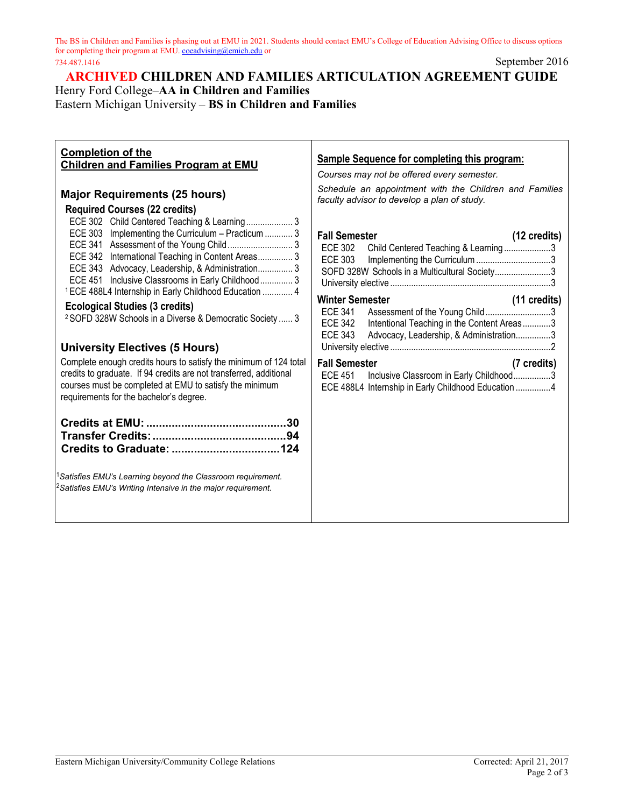The BS in Children and Families is phasing out at EMU in 2021. Students should contact EMU's College of Education Advising Office to discuss options for completing their program at EMU[. coeadvising@emich.edu](mailto:coeadvising@emich.edu) or 734.487.1416 September 2016

**ARCHIVED CHILDREN AND FAMILIES ARTICULATION AGREEMENT GUIDE** Henry Ford College–**AA in Children and Families**

Eastern Michigan University – **BS in Children and Families**

| <b>Completion of the</b><br><b>Children and Families Program at EMU</b><br><b>Major Requirements (25 hours)</b>                                                                                                                                                                                          | <b>Sample Sequence for completing this program:</b><br>Courses may not be offered every semester.<br>Schedule an appointment with the Children and Families<br>faculty advisor to develop a plan of study. |
|----------------------------------------------------------------------------------------------------------------------------------------------------------------------------------------------------------------------------------------------------------------------------------------------------------|------------------------------------------------------------------------------------------------------------------------------------------------------------------------------------------------------------|
| <b>Required Courses (22 credits)</b><br>ECE 302 Child Centered Teaching & Learning 3<br>ECE 303 Implementing the Curriculum - Practicum  3<br>ECE 342 International Teaching in Content Areas 3<br>ECE 343 Advocacy, Leadership, & Administration 3<br>ECE 451 Inclusive Classrooms in Early Childhood 3 | <b>Fall Semester</b><br>$(12 \text{ credits})$<br>ECE 302<br>Child Centered Teaching & Learning3<br><b>ECE 303</b><br>SOFD 328W Schools in a Multicultural Society3                                        |
| <sup>1</sup> ECE 488L4 Internship in Early Childhood Education  4<br><b>Ecological Studies (3 credits)</b><br><sup>2</sup> SOFD 328W Schools in a Diverse & Democratic Society  3<br><b>University Electives (5 Hours)</b>                                                                               | <b>Winter Semester</b><br>(11 credits)<br>Assessment of the Young Child3<br>ECE 341<br><b>ECE 342</b><br>Intentional Teaching in the Content Areas3<br>ECE 343<br>Advocacy, Leadership, & Administration3  |
| Complete enough credits hours to satisfy the minimum of 124 total<br>credits to graduate. If 94 credits are not transferred, additional<br>courses must be completed at EMU to satisfy the minimum<br>requirements for the bachelor's degree.                                                            | <b>Fall Semester</b><br>(7 credits)<br><b>ECE 451</b><br>Inclusive Classroom in Early Childhood3<br>ECE 488L4 Internship in Early Childhood Education 4                                                    |
|                                                                                                                                                                                                                                                                                                          |                                                                                                                                                                                                            |
| <sup>1</sup> Satisfies EMU's Learning beyond the Classroom requirement.<br><sup>2</sup> Satisfies EMU's Writing Intensive in the major requirement.                                                                                                                                                      |                                                                                                                                                                                                            |